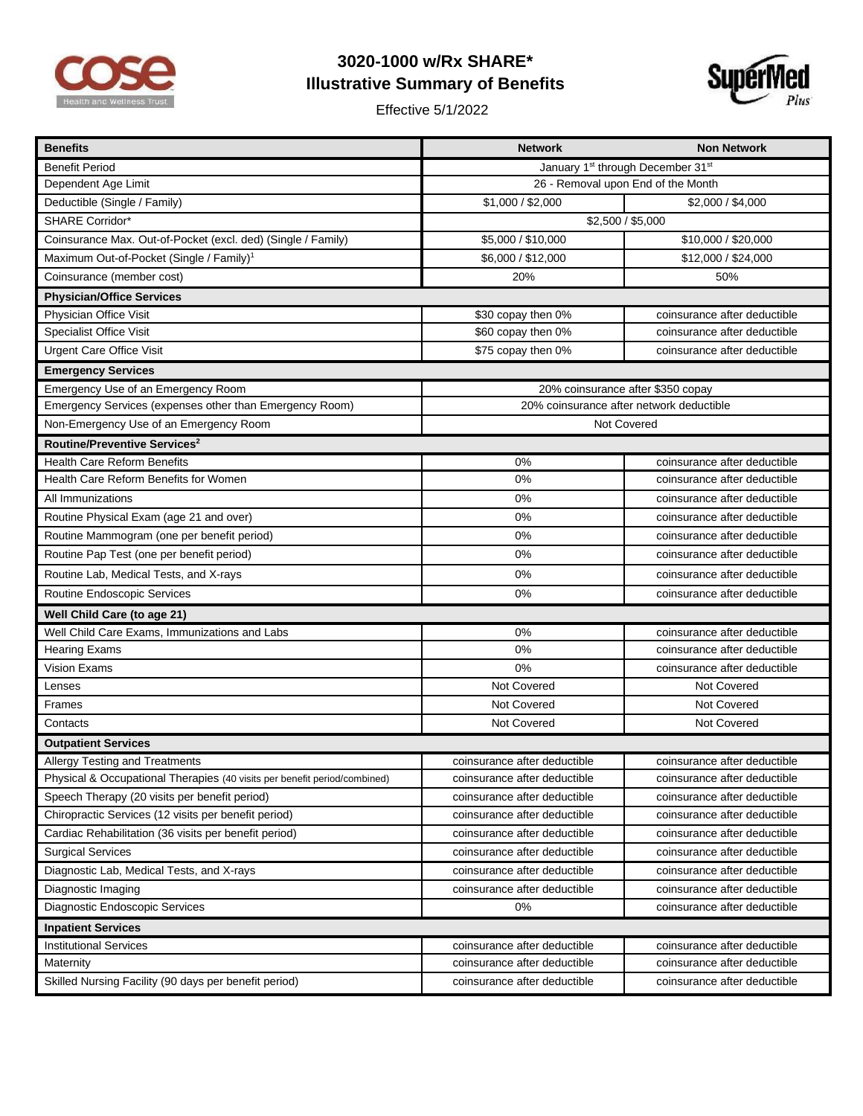

## **3020-1000 w/Rx SHARE\* Illustrative Summary of Benefits**

Effective 5/1/2022



| <b>Benefits</b>                                                           | <b>Network</b>                                            | <b>Non Network</b>           |
|---------------------------------------------------------------------------|-----------------------------------------------------------|------------------------------|
| <b>Benefit Period</b>                                                     | January 1 <sup>st</sup> through December 31 <sup>st</sup> |                              |
| Dependent Age Limit                                                       | 26 - Removal upon End of the Month                        |                              |
| Deductible (Single / Family)                                              | \$1,000 / \$2,000                                         | \$2,000 / \$4,000            |
| <b>SHARE Corridor*</b>                                                    | \$2,500 / \$5,000                                         |                              |
| Coinsurance Max. Out-of-Pocket (excl. ded) (Single / Family)              | \$5,000 / \$10,000                                        | \$10,000 / \$20,000          |
| Maximum Out-of-Pocket (Single / Family) <sup>1</sup>                      | \$6,000 / \$12,000                                        | \$12,000 / \$24,000          |
| Coinsurance (member cost)                                                 | 20%                                                       | 50%                          |
| <b>Physician/Office Services</b>                                          |                                                           |                              |
| Physician Office Visit                                                    | \$30 copay then 0%                                        | coinsurance after deductible |
| <b>Specialist Office Visit</b>                                            | \$60 copay then 0%                                        | coinsurance after deductible |
| <b>Urgent Care Office Visit</b>                                           | \$75 copay then 0%                                        | coinsurance after deductible |
| <b>Emergency Services</b>                                                 |                                                           |                              |
| Emergency Use of an Emergency Room                                        | 20% coinsurance after \$350 copay                         |                              |
| Emergency Services (expenses other than Emergency Room)                   | 20% coinsurance after network deductible                  |                              |
| Non-Emergency Use of an Emergency Room                                    | Not Covered                                               |                              |
| Routine/Preventive Services <sup>2</sup>                                  |                                                           |                              |
| <b>Health Care Reform Benefits</b>                                        | 0%                                                        | coinsurance after deductible |
| Health Care Reform Benefits for Women                                     | $0\%$                                                     | coinsurance after deductible |
| All Immunizations                                                         | 0%                                                        | coinsurance after deductible |
| Routine Physical Exam (age 21 and over)                                   | 0%                                                        | coinsurance after deductible |
| Routine Mammogram (one per benefit period)                                | 0%                                                        | coinsurance after deductible |
| Routine Pap Test (one per benefit period)                                 | 0%                                                        | coinsurance after deductible |
| Routine Lab, Medical Tests, and X-rays                                    | 0%                                                        | coinsurance after deductible |
| Routine Endoscopic Services                                               | $0\%$                                                     | coinsurance after deductible |
| Well Child Care (to age 21)                                               |                                                           |                              |
| Well Child Care Exams, Immunizations and Labs                             | 0%                                                        | coinsurance after deductible |
| <b>Hearing Exams</b>                                                      | $0\%$                                                     | coinsurance after deductible |
| Vision Exams                                                              | 0%                                                        | coinsurance after deductible |
| Lenses                                                                    | Not Covered                                               | Not Covered                  |
| Frames                                                                    | Not Covered                                               | Not Covered                  |
| Contacts                                                                  | Not Covered                                               | Not Covered                  |
| <b>Outpatient Services</b>                                                |                                                           |                              |
| Allergy Testing and Treatments                                            | coinsurance after deductible                              | coinsurance after deductible |
| Physical & Occupational Therapies (40 visits per benefit period/combined) | coinsurance after deductible                              | coinsurance after deductible |
| Speech Therapy (20 visits per benefit period)                             | coinsurance after deductible                              | coinsurance after deductible |
| Chiropractic Services (12 visits per benefit period)                      | coinsurance after deductible                              | coinsurance after deductible |
| Cardiac Rehabilitation (36 visits per benefit period)                     | coinsurance after deductible                              | coinsurance after deductible |
| <b>Surgical Services</b>                                                  | coinsurance after deductible                              | coinsurance after deductible |
| Diagnostic Lab, Medical Tests, and X-rays                                 | coinsurance after deductible                              | coinsurance after deductible |
| Diagnostic Imaging                                                        | coinsurance after deductible                              | coinsurance after deductible |
| Diagnostic Endoscopic Services                                            | 0%                                                        | coinsurance after deductible |
| <b>Inpatient Services</b>                                                 |                                                           |                              |
| <b>Institutional Services</b>                                             | coinsurance after deductible                              | coinsurance after deductible |
| Maternity                                                                 | coinsurance after deductible                              | coinsurance after deductible |
| Skilled Nursing Facility (90 days per benefit period)                     | coinsurance after deductible                              | coinsurance after deductible |